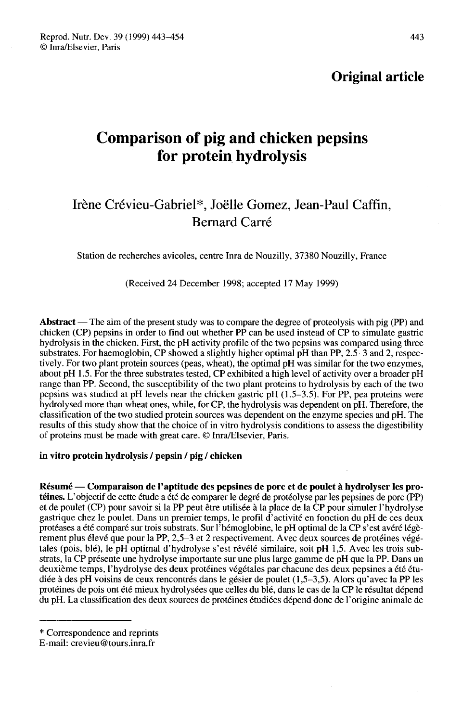## Original article

# Comparison of pig and chicken pepsins for protein hydrolysis

## Irène Crévieu-Gabriel\*, Joëlle Gomez, Jean-Paul Caffin, Bernard Carré

Station de recherches avicoles, centre Inra de Nouzilly, 37380 Nouzilly, France

#### (Received 24 December 1998; accepted 17 May 1999)

Abstract — The aim of the present study was to compare the degree of proteolysis with pig (PP) and chicken (CP) pepsins in order to find out whether PP can be used instead of CP to simulate gastric hydrolysis in the chicken. First, the pH activity profile of the two pepsins was compared using three substrates. For haemoglobin, CP showed a slightly higher optimal  $\bar{p}H$  than PP, 2.5–3 and 2, respectively. For two plant protein sources (peas, wheat), the optimal pH was similar for the two enzymes, about pH 1.5. For the three substrates tested, CP exhibited a high level of activity over a broader pH range than PP. Second, the susceptibility of the two plant proteins to hydrolysis by each of the two pepsins was studied at pH levels near the chicken gastric pH (1.5-3.5). For PP, pea proteins were hydrolysed more than wheat ones, while, for CP, the hydrolysis was dependent on pH. Therefore, the classification of the two studied protein sources was dependent on the enzyme species and pH. The results of this study show that the choice of in vitro hydrolysis conditions to assess the digestibility of proteins must be made with great care. @ Inra/Elsevier, Paris.

#### in vitro protein hydrolysis / pepsin / pig / chicken

Résumé — Comparaison de l'aptitude des pepsines de porc et de poulet à hydrolyser les pro-<br>téines. L'objectif de cette étude a été de comparer le degré de protéolyse par les pepsines de porc (PP) et de poulet (CP) pour savoir si la PP peut être utilisée à la place de la CP pour simuler l'hydrolyse gastrique chez le poulet. Dans un premier temps, le profil d'activité en fonction du pH de ces deux<br>protéases a été comparé sur trois substrats. Sur l'hémoglobine, le pH optimal de la CP s'est avéré légèrement plus élevé que pour la PP, 2,5-3 et 2 respectivement. Avec deux sources de protéines végétales (pois, blé), le pH optimal d'hydrolyse s'est révélé similaire, soit pH 1,5. Avec les trois substrats, la CP présente une hydrolyse importante sur une plus large gamme de pH que la PP. Dans un deuxième temps, l'hydrolyse des deux protéines végétales par chacune des deux pepsines a été étudiée à des pH voisins de ceux rencontrés dans le gésier de poulet (1,5-3,5). Alors qu'avec la PP les protéines de pois ont été mieux hydrolysées que celles du blé, dans le cas de la CP le résultat dépend du pH. La classification des deux sources de protéines étudiées dépend donc de l'origine animale de

<sup>\*</sup> Correspondence and reprints

E-mail: crevieu@tours.inra.fr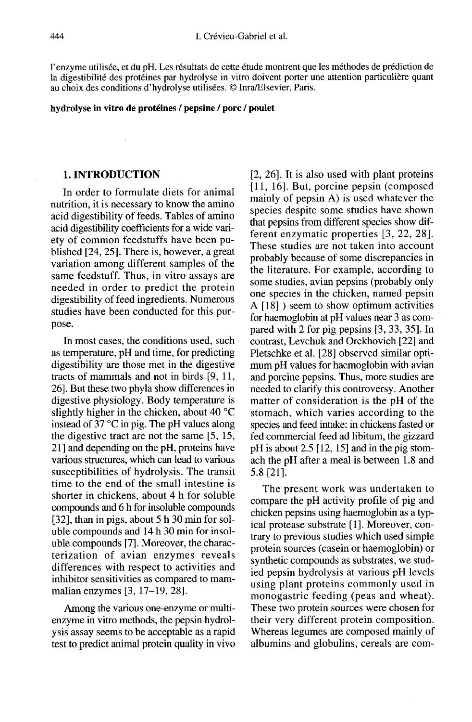l'enzyme utilisée, et du pH. Les résultats de cette étude montrent que les méthodes de prédiction de la digestibilité des protéines par hydrolyse in vitro doivent porter une attention particulière quant au choix des conditions d'hydrolyse utilisées. @ Inra/Elsevier, Paris.

hydrolyse in vitro de protéines / pepsine / porc / poulet

## 1. INTRODUCTION

In order to formulate diets for animal nutrition, it is necessary to know the amino acid digestibility of feeds. Tables of amino acid digestibility coefficients for a wide variety of common feedstuffs have been published [24, 25]. There is, however, a great variation among different samples of the same feedstuff. Thus, in vitro assays are needed in order to predict the protein digestibility of feed ingredients. Numerous studies have been conducted for this purpose.

In most cases, the conditions used, such as temperature, pH and time, for predicting digestibility are those met in the digestive tracts of mammals and not in birds [9, 11, 26]. But these two phyla show differences in digestive physiology. Body temperature is slightly higher in the chicken, about 40 °C instead of 37 °C in pig. The pH values along the digestive tract are not the same [5, 15, 21 and depending on the pH, proteins have various structures, which can lead to various susceptibilities of hydrolysis. The transit time to the end of the small intestine is shorter in chickens, about 4 h for soluble compounds and 6 h for insoluble compounds [32], than in pigs, about 5 h 30 min for soluble compounds and 14 h 30 min for insoluble compounds [7]. Moreover, the characterization of avian enzymes reveals differences with respect to activities and inhibitor sensitivities as compared to mammalian enzymes [3, 17-19, 28].

Among the various one-enzyme or multienzyme in vitro methods, the pepsin hydrolysis assay seems to be acceptable as a rapid test to predict animal protein quality in vivo [2, 26]. It is also used with plant proteins [11, 16]. But, porcine pepsin (composed mainly of pepsin A) is used whatever the species despite some studies have shown that pepsins from different species show different enzymatic properties [3, 22, 28]. These studies are not taken into account probably because of some discrepancies in the literature. For example, according to some studies, avian pepsins (probably only one species in the chicken, named pepsin A [18] ) seem to show optimum activities for haemoglobin at pH values near 3 as compared with 2 for pig pepsins [3, 33, 35]. In contrast, Levchuk and Orekhovich [22] and Pletschke et al. [28] observed similar opti- mum pH values for haemoglobin with avian and porcine pepsins. Thus, more studies are needed to clarify this controversy. Another matter of consideration is the pH of the stomach, which varies according to the species and feed intake: in chickens fasted or fed commercial feed ad libitum, the gizzard pH is about 2.5 [12, 15] and in the pig stomach the pH after a meal is between 1.8 and 5.8 [21].

The present work was undertaken to compare the pH activity profile of pig and chicken pepsins using haemoglobin as a typical protease substrate [1]. Moreover, contrary to previous studies which used simple protein sources (casein or haemoglobin) or synthetic compounds as substrates, we studied pepsin hydrolysis at various pH levels using plant proteins commonly used in monogastric feeding (peas and wheat). These two protein sources were chosen for their very different protein composition. Whereas legumes are composed mainly of albumins and globulins, cereals are com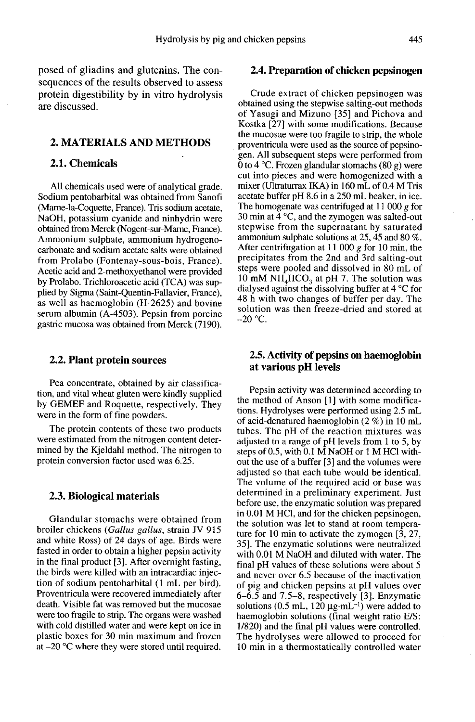posed of gliadins and glutenins. The consequences of the results observed to assess protein digestibility by in vitro hydrolysis are discussed.

## 2. MATERIALS AND METHODS

## 2.1. Chemicals

All chemicals used were of analytical grade. Sodium pentobarbital was obtained from Sanofi (Marne-la-Coquette, France). Tris sodium acetate, NaOH, potassium cyanide and ninhydrin were obtained from Merck (Nogent-sur-Marne, France). Ammonium sulphate, ammonium hydrogenocarbonate and sodium acetate salts were obtained from Prolabo (Fontenay-sous-bois, France). Acetic acid and 2-methoxyethanol were provided by Prolabo. Trichloroacetic acid (TCA) was supplied by Sigma (Saint-Quentin-Fallavier, France), as well as haemoglobin (H-2625) and bovine serum albumin (A-4503). Pepsin from porcine gastric mucosa was obtained from Merck (7190).

#### 2.2. Plant protein sources

Pea concentrate, obtained by air classification, and vital wheat gluten were kindly supplied by GEMEF and Roquette, respectively. They were in the form of fine powders.

The protein contents of these two products were estimated from the nitrogen content determined by the Kjeldahl method. The nitrogen to protein conversion factor used was 6.25.

#### 2.3. Biological materials

Glandular stomachs were obtained from broiler chickens (Gallus gallus, strain JV 915 and white Ross) of 24 days of age. Birds were fasted in order to obtain a higher pepsin activity in the final product [3]. After overnight fasting, the birds were killed with an intracardiac injection of sodium pentobarbital (1 mL per bird). Proventricula were recovered immediately after death. Visible fat was removed but the mucosae were too fragile to strip. The organs were washed with cold distilled water and were kept on ice in plastic boxes for 30 min maximum and frozen at  $-20$  °C where they were stored until required.

#### 2.4. Preparation of chicken pepsinogen

Crude extract of chicken pepsinogen was obtained using the stepwise salting-out methods of Yasugi and Mizuno [35] and Pichova and Kostka [27] with some modifications. Because the mucosae were too fragile to strip, the whole proventricula were used as the source of pepsinogen. All subsequent steps were performed from 0 to 4 °C. Frozen glandular stomachs (80 g) were cut into pieces and were homogenized with a mixer (Ultraturrax IKA) in 160 mL of 0.4 M Tris acetate buffer pH 8.6 in a 250 mL beaker, in ice. The homogenate was centrifuged at  $11\,000\,g$  for 30 min at  $\overline{4}$  °C, and the zymogen was salted-out stepwise from the supernatant by saturated ammonium sulphate solutions at 25, 45 and 80 %. After centrifugation at 11 000 g for 10 min, the precipitates from the 2nd and 3rd salting-out steps were pooled and dissolved in 80 mL of 10 mM  $NH_A HCO_3$  at pH 7. The solution was anmonium sulphate solutions at 25, 45 and 80 %.<br>After centrifugation at 11 000 g for 10 min, the<br>precipitates from the 2nd and 3rd salting-out<br>steps were pooled and dissolved in 80 mL of<br>10 mM NH<sub>4</sub>HCO<sub>3</sub> at pH 7. The sol dialysed against the dissolving buffer at 4 °C for 48 h with two changes of buffer per day. The solution was then freeze-dried and stored at  $-20$  °C.

## 2.5. Activity of pepsins on haemoglobin at various pH levels

Pepsin activity was determined according to the method of Anson [1] with some modifications. Hydrolyses were performed using 2.5 mL of acid-denatured haemoglobin (2 %) in 10 mL tubes. The pH of the reaction mixtures was adjusted to a range of pH levels from 1 to 5, by steps of 0.5, with 0.1 M NaOH or 1 M HC1 without the use of a buffer [3] and the volumes were adjusted so that each tube would be identical. The volume of the required acid or base was determined in a preliminary experiment. Just<br>before use, the enzymatic solution was prepared in 0.01 M HCl, and for the chicken pepsinogen, the solution was let to stand at room temperature for 10 min to activate the zymogen [3, 27, 35]. The enzymatic solutions were neutralized with 0.01 M NaOH and diluted with water. The final pH values of these solutions were about 5 and never over 6.5 because of the inactivation of pig and chicken pepsins at pH values over 6-6.5 and 7.5-8, respectively [3]. Enzymatic solutions (0.5 mL, 120  $\mu$ g·mL<sup>-1</sup>) were added to haemoglobin solutions (final weight ratio E/S: 1/820) and the final pH values were controlled. The hydrolyses were allowed to proceed for 10 min in a thermostatically controlled water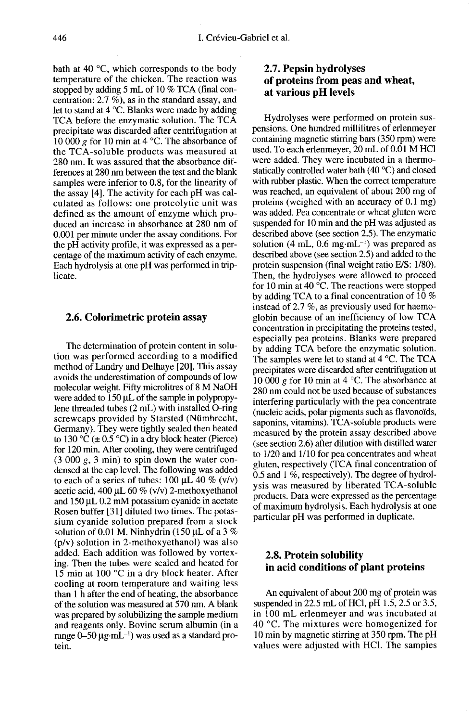bath at 40 °C, which corresponds to the body temperature of the chicken. The reaction was stopped by adding 5 mL of 10 % TCA (final concentration:  $2.7\%$ ), as in the standard assay, and let to stand at 4 °C. Blanks were made by adding TCA before the enzymatic solution. The TCA precipitate was discarded after centrifugation at 10 000 g for 10 min at 4 °C. The absorbance of the TCA-soluble products was measured at 280 nm. It was assured that the absorbance differences at 280 nm between the test and the blank samples were inferior to 0.8, for the linearity of the assay [4]. The activity for each pH was calculated as follows: one proteolytic unit was defined as the amount of enzyme which produced an increase in absorbance at 280 nm of 0.001 per minute under the assay conditions. For the pH activity profile, it was expressed as a percentage of the maximum activity of each enzyme. Each hydrolysis at one pH was performed in triplicate.

#### 2.6. Colorimetric protein assay

The determination of protein content in solution was performed according to a modified method of Landry and Delhaye [20]. This assay avoids the underestimation of compounds of low molecular weight. Fifty microlitres of 8 M NaOH were added to  $150 \mu L$  of the sample in polypropylene threaded tubes (2 mL) with installed 0-ring screwcaps provided by Starsted (Nümbrecht, Germany). They were tightly sealed then heated to 130 °C ( $\pm$  0.5 °C) in a dry block heater (Pierce) for 120 min. After cooling, they were centrifuged  $(3,000, \rho, 3,00)$  is spin down the water condensed at the cap level. The following was added to each of a series of tubes:  $100 \mu L$  40 % (v/v) acetic acid, 400  $\mu$ L 60 % (v/v) 2-methoxyethanol and  $150 \mu L$  0.2 mM potassium cyanide in acetate Rosen buffer [31] diluted two times. The potassium cyanide solution prepared from a stock solution of 0.01 M. Ninhydrin (150  $\mu$ L of a 3 % (p/v) solution in 2-methoxyethanol) was also added. Each addition was followed by vortexing. Then the tubes were sealed and heated for 15 min at 100 °C in a dry block heater. After cooling at room temperature and waiting less than 1 h after the end of heating, the absorbance of the solution was measured at 570 nm. A blank was prepared by solubilizing the sample medium and reagents only. Bovine serum albumin (in a range  $0-50 \mu$ g·mL<sup>-1</sup>) was used as a standard protein.

## 2.7. Pepsin hydrolyses of proteins from peas and wheat, at various pH levels

Hydrolyses were performed on protein suspensions. One hundred millilitres of erlenmeyer containing magnetic stirring bars (350 rpm) were used. To each erlenmeyer, 20 mL of 0.01 M HC1 were added. They were incubated in a thermostatically controlled water bath (40 °C) and closed with rubber plastic. When the correct temperature was reached, an equivalent of about 200 mg of proteins (weighed with an accuracy of 0.1 mg) was added. Pea concentrate or wheat gluten were suspended for 10 min and the pH was adjusted as described above (see section 2.5). The enzymatic solution (4 mL,  $0.6$  mg·mL<sup>-1</sup>) was prepared as described above (see section 2.5) and added to the protein suspension (final weight ratio E/S: 1/80). Then, the hydrolyses were allowed to proceed for 10 min at 40 °C. The reactions were stopped by adding TCA to a final concentration of 10 % instead of 2.7 %, as previously used for haemoglobin because of an inefficiency of low TCA concentration in precipitating the proteins tested, especially pea proteins. Blanks were prepared by adding TCA before the enzymatic solution. The samples were let to stand at 4 °C. The TCA precipitates were discarded after centrifugation at 10 000 g for 10 min at 4  $^{\circ}$ C. The absorbance at 280 nm could not be used because of substances interfering particularly with the pea concentrate (nucleic acids, polar pigments such as flavonoids, saponins, vitamins). TCA-soluble products were measured by the protein assay described above (see section 2.6) after dilution with distilled water to 1/20 and 1/10 for pea concentrates and wheat gluten, respectively (TCA final concentration of 0.5 and 1 %, respectively). The degree of hydrolysis was measured by liberated TCA-soluble products. Data were expressed as the percentage of maximum hydrolysis. Each hydrolysis at one particular pH was performed in duplicate.

## 2.8. Protein solubility in acid conditions of plant proteins

An equivalent of about 200 mg of protein was suspended in 22.5 mL of HCI, pH 1.5, 2.5 or 3.5, in 100 mL erlenmeyer and was incubated at 40 °C. The mixtures were homogenized for 10 min by magnetic stirring at 350 rpm. The pH values were adjusted with HCI. The samples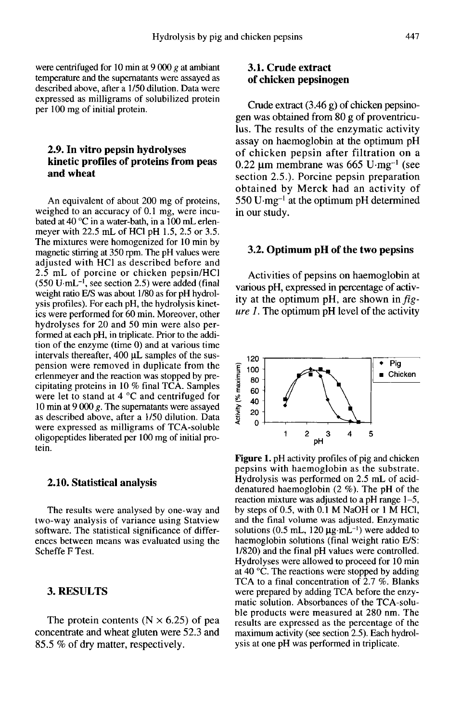were centrifuged for 10 min at 9 000 g at ambiant temperature and the supernatants were assayed as described above, after a 1/50 dilution. Data were expressed as milligrams of solubilized protein per 100 mg of initial protein.

## 2.9. In vitro pepsin hydrolyses kinetic profiles of proteins from peas and wheat

An equivalent of about 200 mg of proteins, weighed to an accuracy of 0.1 mg, were incubated at 40 °C in a water-bath, in a 100 mL erlenmeyer with 22.5 mL of HC1 pH 1.5, 2.5 or 3.5. The mixtures were homogenized for 10 min by magnetic stirring at 350 rpm. The pH values were adjusted with HCI as described before and 2.5 mL of porcine or chicken pepsin/HCI  $(550 \text{ U} \cdot \text{mL}^{-1})$ , see section 2.5) were added (final weight ratio E/S was about 1/80 as for pH hydrolysis profiles). For each pH, the hydrolysis kinetics were performed for 60 min. Moreover, other hydrolyses for 20 and 50 min were also performed at each pH, in triplicate. Prior to the addition of the enzyme (time 0) and at various time intervals thereafter,  $400 \mu L$  samples of the suspension were removed in duplicate from the erlenmeyer and the reaction was stopped by precipitating proteins in 10 % final TCA. Samples were let to stand at 4 °C and centrifuged for 10 min at 9 000 g. The supernatants were assayed as described above, after a 1/50 dilution. Data were expressed as milligrams of TCA-soluble oligopeptides liberated per 100 mg of initial protein.

#### 2.10. Statistical analysis

The results were analysed by one-way and two-way analysis of variance using Statview software. The statistical significance of differences between means was evaluated using the Scheffe F Test.

## 3. RESULTS

The protein contents  $(N \times 6.25)$  of pea concentrate and wheat gluten were 52.3 and 85.5 % of dry matter, respectively.

## 3.1. Crude extract of chicken pepsinogen

Crude extract (3.46 g) of chicken pepsinogen was obtained from 80 g of proventriculus. The results of the enzymatic activity assay on haemoglobin at the optimum pH of chicken pepsin after filtration on a  $0.22$  µm membrane was 665 U $\cdot$ mg<sup>-1</sup> (see section 2.5.). Porcine pepsin preparation<br>obtained by Merck had an activity of<br>550 U-mg<sup>-1</sup> at the optimum pH determined<br>in our study. obtained by Merck had an activity of 550 U-mg<sup>-1</sup> at the optimum pH determined in our study.

## 3.2. Optimum pH of the two pepsins

Activities of pepsins on haemoglobin at various pH, expressed in percentage of activity at the optimum pH, are shown in  $fig$ ure 1. The optimum pH level of the activity



Figure 1. pH activity profiles of pig and chicken pepsins with haemoglobin as the substrate. Hydrolysis was performed on 2.5 mL of aciddenatured haemoglobin  $(2 \%)$ . The pH of the reaction mixture was adjusted to a pH range  $1-5$ , by steps of 0.5, with  $0.1$  M NaOH or  $1$  M HCl, and the final volume was adjusted. Enzymatic solutions (0.5 mL, 120  $\mu$ g·mL<sup>-1</sup>) were added to haemoglobin solutions (final weight ratio E/S: 1/820) and the final pH values were controlled. Hydrolyses were allowed to proceed for 10 min at 40  $\degree$ C. The reactions were stopped by adding TCA to a final concentration of 2.7 %. Blanks were prepared by adding TCA before the enzymatic solution. Absorbances of the TCA-soluble products were measured at 280 nm. The results are expressed as the percentage of the maximum activity (see section 2.5). Each hydrolysis at one pH was performed in triplicate.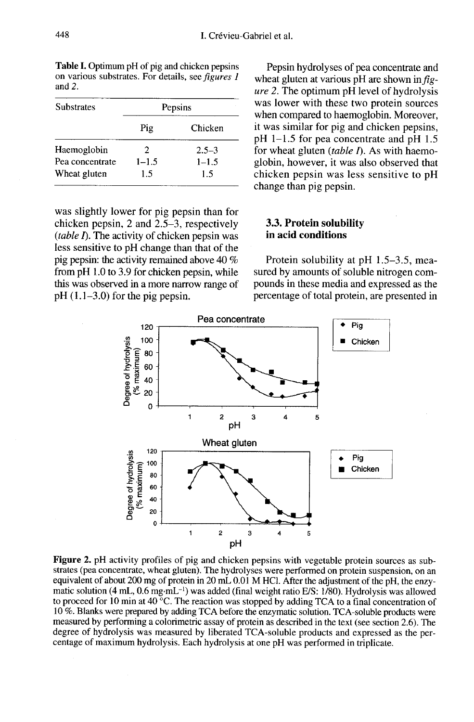**Table I.** Optimum pH of pig and chicken pepsins on various substrates. For details, see figures 1 and 2.

| <b>Substrates</b> | Pepsins   |           |  |  |
|-------------------|-----------|-----------|--|--|
|                   | Pig       | Chicken   |  |  |
| Haemoglobin       | 2         | $2.5 - 3$ |  |  |
| Pea concentrate   | $1 - 1.5$ | $1 - 1.5$ |  |  |
| Wheat gluten      | 1.5       | 1.5       |  |  |

was slightly lower for pig pepsin than for chicken pepsin, 2 and 2.5-3, respectively  $(table I)$ . The activity of chicken pepsin was less sensitive to pH change than that of the pig pepsin: the activity remained above 40 % from pH 1.0 to 3.9 for chicken pepsin, while this was observed in a more narrow range of  $pH (1.1–3.0)$  for the pig pepsin.

Pepsin hydrolyses of pea concentrate and wheat gluten at various  $pH$  are shown in  $fig$ ure 2. The optimum pH level of hydrolysis was lower with these two protein sources when compared to haemoglobin. Moreover, it was similar for pig and chicken pepsins, pH 1-1.5 for pea concentrate and pH 1.5 for wheat gluten  $(table I)$ . As with haemoglobin, however, it was also observed that chicken pepsin was less sensitive to pH change than pig pepsin.

## 3.3. Protein solubility in acid conditions

Protein solubility at pH 1.5-3.5, measured by amounts of soluble nitrogen compounds in these media and expressed as the percentage of total protein, are presented in



Figure 2. pH activity profiles of pig and chicken pepsins with vegetable protein sources as substrates (pea concentrate, wheat gluten). The hydrolyses were performed on protein suspension, on an equivalent of about 200 mg of protein in 20 mL 0.01 M HCl. After the adjustment of the pH, the enzymatic solution (4 mL, 0.6 mg·mL<sup>-1</sup>) was added (final weight ratio E/S: 1/80). Hydrolysis was allowed to proceed for 10 min at 40  $^{\circ}$ C. The reaction was stopped by adding TCA to a final concentration of 10 %. Blanks were prepared by adding TCA before the enzymatic solution. TCA-soluble products were measured by performing a colorimetric assay of protein as described in the text (see section 2.6). The degree of hydrolysis was measured by liberated TCA-soluble products and expressed as the percentage of maximum hydrolysis. Each hydrolysis at one pH was performed in triplicate.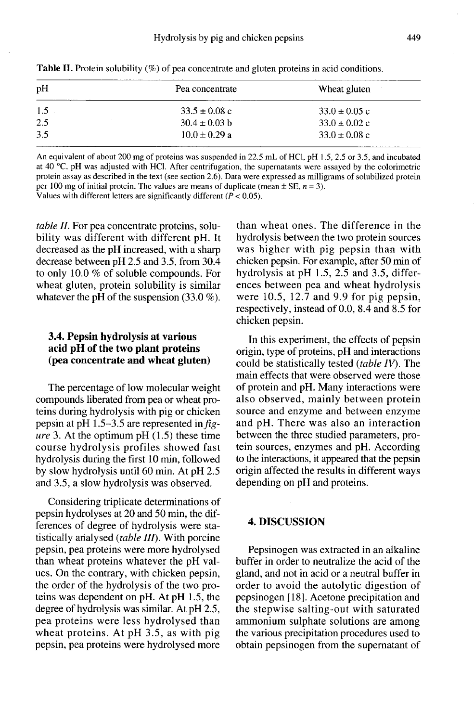| pH  | Pea concentrate   | Wheat gluten      |
|-----|-------------------|-------------------|
| 1.5 | $33.5 \pm 0.08$ c | $33.0 \pm 0.05$ c |
| 2.5 | $30.4 \pm 0.03$ b | $33.0 \pm 0.02$ c |
| 3.5 | $10.0 \pm 0.29 a$ | $33.0 \pm 0.08$ c |

**Table II.** Protein solubility (%) of pea concentrate and gluten proteins in acid conditions.

An equivalent of about 200 mg of proteins was suspended in 22.5 mL of HCl, pH 1.5, 2.5 or 3.5, and incubated at 40 °C. pH was adjusted with HCl. After centrifugation, the supernatants were assayed by the colorimetric protein assay as described in the text (see section 2.6). Data were expressed as milligrams of solubilized protein per 100 mg of initial protein. The values are means of duplicate (mean  $\pm$  SE,  $n = 3$ ). Values with different letters are significantly different  $(P < 0.05)$ .

table II. For pea concentrate proteins, solubility was different with different pH. It decreased as the pH increased, with a sharp decrease between pH 2.5 and 3.5, from 30.4 to only 10.0 % of soluble compounds. For wheat gluten, protein solubility is similar whatever the pH of the suspension  $(33.0\%)$ .

## 3.4. Pepsin hydrolysis at various acid pH of the two plant proteins (pea concentrate and wheat gluten)

The percentage of low molecular weight compounds liberated from pea or wheat proteins during hydrolysis with pig or chicken pepsin at pH 1.5-3.5 are represented in fig *ure* 3. At the optimum pH  $(1.5)$  these time course hydrolysis profiles showed fast hydrolysis during the first 10 min, followed by slow hydrolysis until 60 min. At pH 2.5 and 3.5, a slow hydrolysis was observed.

Considering triplicate determinations of pepsin hydrolyses at 20 and 50 min, the differences of degree of hydrolysis were statistically analysed (table III). With porcine pepsin, pea proteins were more hydrolysed than wheat proteins whatever the pH values. On the contrary, with chicken pepsin, the order of the hydrolysis of the two proteins was dependent on pH. At pH 1.5, the degree of hydrolysis was similar. At pH 2.5, pea proteins were less hydrolysed than wheat proteins. At pH 3.5, as with pig pepsin, pea proteins were hydrolysed more

than wheat ones. The difference in the hydrolysis between the two protein sources was higher with pig pepsin than with chicken pepsin. For example, after 50 min of hydrolysis at pH 1.5, 2.5 and 3.5, differences between pea and wheat hydrolysis were 10.5, 12.7 and 9.9 for pig pepsin, respectively, instead of 0.0, 8.4 and 8.5 for chicken pepsin.

In this experiment, the effects of pepsin origin, type of proteins, pH and interactions could be statistically tested (table IV). The main effects that were observed were those of protein and pH. Many interactions were also observed, mainly between protein source and enzyme and between enzyme and pH. There was also an interaction between the three studied parameters, protein sources, enzymes and pH. According to the interactions, it appeared that the pepsin origin affected the results in different ways depending on pH and proteins.

## 4. DISCUSSION

Pepsinogen was extracted in an alkaline buffer in order to neutralize the acid of the gland, and not in acid or a neutral buffer in order to avoid the autolytic digestion of pepsinogen [18]. Acetone precipitation and the stepwise salting-out with saturated ammonium sulphate solutions are among the various precipitation procedures used to obtain pepsinogen from the supernatant of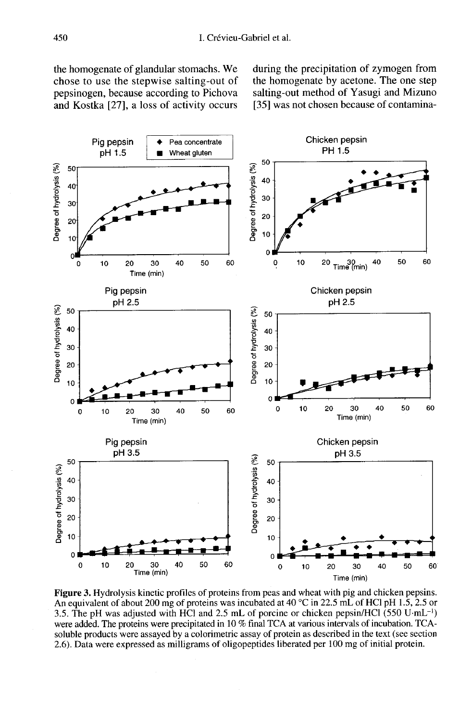the homogenate of glandular stomachs. We chose to use the stepwise salting-out of pepsinogen, because according to Pichova and Kostka [27], a loss of activity occurs during the precipitation of zymogen from the homogenate by acetone. The one step salting-out method of Yasugi and Mizuno [35] was not chosen because of contamina-



Figure 3. Hydrolysis kinetic profiles of proteins from peas and wheat with pig and chicken pepsins. An equivalent of about 200 mg of proteins was incubated at 40 °C in 22.5 mL of HCl pH 1.5, 2.5 or 3.5. The pH was adjusted with HCl and 2.5 mL of porcine or chicken pepsin/HCl (550  $U \cdot mL^{-1}$ ) were added. The proteins were precipitated in 10 % final TCA at various intervals of incubation. TCAsoluble products were assayed by a colorimetric assay of protein as described in the text (see section 2.6). Data were expressed as milligrams of oligopeptides liberated per 100 mg of initial protein.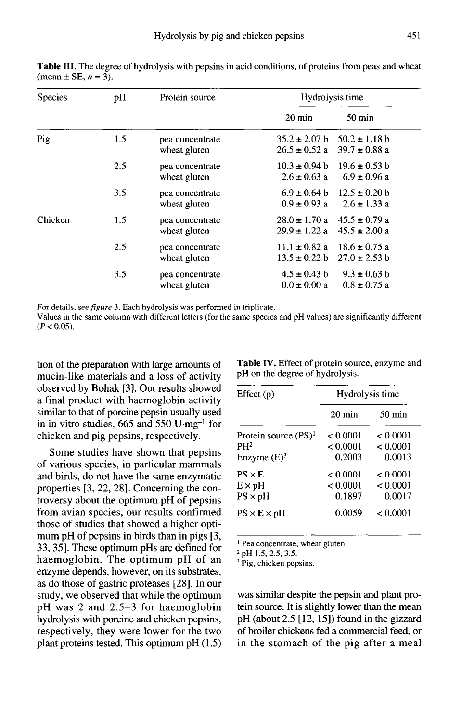| <b>Species</b> | pH  | Protein source                  | Hydrolysis time                        |                                        |  |
|----------------|-----|---------------------------------|----------------------------------------|----------------------------------------|--|
|                |     |                                 | $20 \text{ min}$                       | $50 \,\mathrm{min}$                    |  |
| Pig            | 1.5 | pea concentrate<br>wheat gluten | $35.2 \pm 2.07$ b<br>$26.5 \pm 0.52$ a | $50.2 \pm 1.18$ b<br>$39.7 \pm 0.88$ a |  |
|                | 2.5 | pea concentrate<br>wheat gluten | $10.3 \pm 0.94$ b<br>$2.6 \pm 0.63$ a  | $19.6 \pm 0.53$ b<br>$6.9 \pm 0.96$ a  |  |
|                | 3.5 | pea concentrate<br>wheat gluten | $6.9 \pm 0.64$ b<br>$0.9 \pm 0.93$ a   | $12.5 \pm 0.20$ b<br>$2.6 \pm 1.33$ a  |  |
| Chicken        | 1.5 | pea concentrate<br>wheat gluten | $28.0 \pm 1.70 a$<br>$29.9 \pm 1.22$ a | $45.5 \pm 0.79$ a<br>$45.5 \pm 2.00$ a |  |
|                | 2.5 | pea concentrate<br>wheat gluten | $11.1 \pm 0.82$ a<br>$13.5 \pm 0.22 b$ | $18.6 \pm 0.75$ a<br>$27.0 \pm 2.53 b$ |  |
|                | 3.5 | pea concentrate<br>wheat gluten | $4.5 \pm 0.43$ b<br>$0.0 \pm 0.00 a$   | $9.3 \pm 0.63$ b<br>$0.8 \pm 0.75 a$   |  |

Table III. The degree of hydrolysis with pepsins in acid conditions, of proteins from peas and wheat (mean  $\pm$  SE,  $n = 3$ ).

For details, see *figure* 3. Each hydrolysis was performed in triplicate.

Values in the same column with different letters (for the same species and pH values) are significantly different  $(P < 0.05)$ .

tion of the preparation with large amounts of mucin-like materials and a loss of activity observed by Bohak [3]. Our results showed a final product with haemoglobin activity similar to that of porcine pepsin usually used in in product with haemoglobin activity<br>a final product with haemoglobin activity<br>similar to that of porcine pepsin usually used<br>in in vitro studies, 665 and 550 U-mg<sup>-1</sup> for<br>chicken and pig pepsins, respectively. chicken and pig pepsins, respectively.

Some studies have shown that pepsins of various species, in particular mammals and birds, do not have the same enzymatic properties [3, 22, 28]. Concerning the controversy about the optimum pH of pepsins from avian species, our results confirmed<br>those of studies that showed a higher optimum pH of pepsins in birds than in pigs  $[3, \frac{1}{2}]$ 33, 35]. These optimum pHs are defined for haemoglobin. The optimum pH of an enzyme depends, however, on its substrates, as do those of gastric proteases [28]. In our study, we observed that while the optimum pH was 2 and 2.5-3 for haemoglobin hydrolysis with porcine and chicken pepsins, respectively, they were lower for the two plant proteins tested. This optimum pH (1.5)

|  |                                 |  | <b>Table IV.</b> Effect of protein source, enzyme and |  |
|--|---------------------------------|--|-------------------------------------------------------|--|
|  | pH on the degree of hydrolysis. |  |                                                       |  |

| Effect $(p)$            | Hydrolysis time  |                  |  |  |
|-------------------------|------------------|------------------|--|--|
|                         | $20 \text{ min}$ | $50 \text{ min}$ |  |  |
| Protein source $(PS)^1$ | < 0.0001         | < 0.0001         |  |  |
| PH <sup>2</sup>         | < 0.0001         | < 0.0001         |  |  |
| Enzyme $(E)^3$          | 0.2003           | 0.0013           |  |  |
| $PS \times E$           | < 0.0001         | < 0.0001         |  |  |
| $E \times pH$           | < 0.0001         | < 0.0001         |  |  |
| $PS \times pH$          | 0.1897           | 0.0017           |  |  |
| $PS \times E \times pH$ | 0.0059           | < 0.0001         |  |  |

<sup>1</sup> Pea concentrate, wheat gluten.

 $^{2}$  pH 1.5, 2.5, 3.5.

<sup>3</sup> Pig, chicken pepsins.

was similar despite the pepsin and plant protein source. It is slightly lower than the mean pH (about 2.5 [12, 15]) found in the gizzard of broiler chickens fed a commercial feed, or in the stomach of the pig after a meal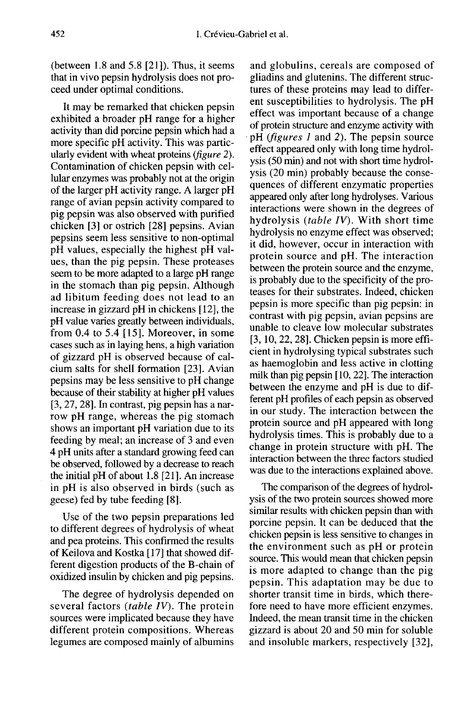(between 1.8 and 5.8 [21]). Thus, it seems that in vivo pepsin hydrolysis does not proceed under optimal conditions.

It may be remarked that chicken pepsin exhibited a broader pH range for a higher activity than did porcine pepsin which had a more specific pH activity. This was particularly evident with wheat proteins (figure 2). Contamination of chicken pepsin with cellular enzymes was probably not at the origin of the larger pH activity range. A larger pH range of avian pepsin activity compared to pig pepsin was also observed with purified chicken [3] or ostrich [28] pepsins. Avian pepsins seem less sensitive to non-optimal pH values, especially the highest pH values, than the pig pepsin. These proteases seem to be more adapted to a large pH range in the stomach than pig pepsin. Although ad libitum feeding does not lead to an increase in gizzard pH in chickens [12], the pH value varies greatly between individuals, from 0.4 to 5.4 [15]. Moreover, in some cases such as in laying hens, a high variation of gizzard pH is observed because of calcium salts for shell formation [23]. Avian pepsins may be less sensitive to pH change because of their stability at higher pH values [3, 27, 28]. In contrast, pig pepsin has a narrow pH range, whereas the pig stomach shows an important pH variation due to its feeding by meal; an increase of 3 and even 4 pH units after a standard growing feed can be observed, followed by a decrease to reach the initial pH of about 1.8 [21]. An increase in pH is also observed in birds (such as geese) fed by tube feeding [8].

Use of the two pepsin preparations led to different degrees of hydrolysis of wheat and pea proteins. This confirmed the results of Keilova and Kostka [17] that showed different digestion products of the B-chain of oxidized insulin by chicken and pig pepsins.

The degree of hydrolysis depended on several factors (table IV). The protein sources were implicated because they have different protein compositions. Whereas legumes are composed mainly of albumins and globulins, cereals are composed of gliadins and glutenins. The different structures of these proteins may lead to different susceptibilities to hydrolysis. The pH effect was important because of a change of protein structure and enzyme activity with  $pH$  (*figures 1* and 2). The pepsin source effect appeared only with long time hydrolysis (50 min) and not with short time hydrolysis (20 min) probably because the consequences of different enzymatic properties appeared only after long hydrolyses. Various interactions were shown in the degrees of hydrolysis (table IV). With short time hydrolysis no enzyme effect was observed; it did, however, occur in interaction with protein source and pH. The interaction between the protein source and the enzyme, is probably due to the specificity of the proteases for their substrates. Indeed, chicken pepsin is more specific than pig pepsin: in contrast with pig pepsin, avian pepsins are unable to cleave low molecular substrates [3, 10, 22, 28]. Chicken pepsin is more efficient in hydrolysing typical substrates such as haemoglobin and less active in clotting milk than pig pepsin [ 10, 22]. The interaction between the enzyme and pH is due to different pH profiles of each pepsin as observed in our study. The interaction between the protein source and pH appeared with long hydrolysis times. This is probably due to a change in protein structure with pH. The interaction between the three factors studied was due to the interactions explained above.

The comparison of the degrees of hydrolysis of the two protein sources showed more similar results with chicken pepsin than with porcine pepsin. It can be deduced that the chicken pepsin is less sensitive to changes in the environment such as pH or protein source. This would mean that chicken pepsin is more adapted to change than the pig pepsin. This adaptation may be due to shorter transit time in birds, which therefore need to have more efficient enzymes. Indeed, the mean transit time in the chicken gizzard is about 20 and 50 min for soluble and insoluble markers, respectively [32],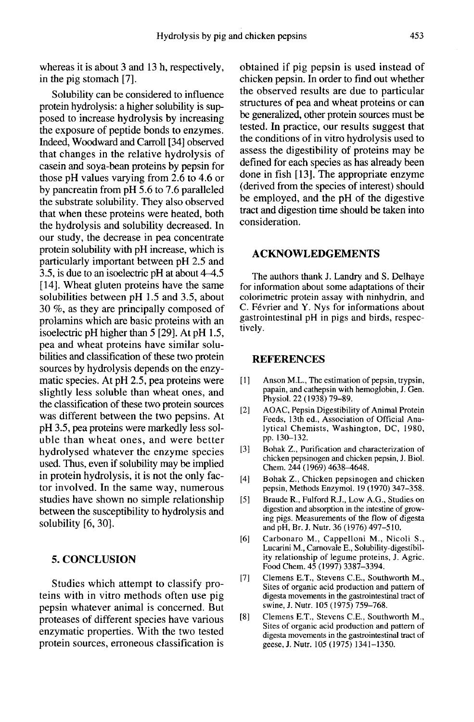whereas it is about 3 and 13 h, respectively, in the pig stomach [7].

Solubility can be considered to influence protein hydrolysis: a higher solubility is supposed to increase hydrolysis by increasing the exposure of peptide bonds to enzymes. Indeed, Woodward and Carroll [34] observed that changes in the relative hydrolysis of casein and soya-bean proteins by pepsin for those pH values varying from 2.6 to 4.6 or by pancreatin from pH 5.6 to 7.6 paralleled the substrate solubility. They also observed that when these proteins were heated, both the hydrolysis and solubility decreased. In our study, the decrease in pea concentrate protein solubility with pH increase, which is particularly important between pH 2.5 and 3.5, is due to an isoelectric pH at about 4-4.5 [14]. Wheat gluten proteins have the same solubilities between pH 1.5 and 3.5, about 30 %, as they are principally composed of prolamins which are basic proteins with an isoelectric pH higher than 5 [29]. At pH 1.5, pea and wheat proteins have similar solubilities and classification of these two protein sources by hydrolysis depends on the enzymatic species. At pH 2.5, pea proteins were slightly less soluble than wheat ones, and the classification of these two protein sources was different between the two pepsins. At pH 3.5, pea proteins were markedly less soluble than wheat ones, and were better hydrolysed whatever the enzyme species used. Thus, even if solubility may be implied in protein hydrolysis, it is not the only factor involved. In the same way, numerous studies have shown no simple relationship between the susceptibility to hydrolysis and solubility [6, 30].

## 5. CONCLUSION

Studies which attempt to classify proteins with in vitro methods often use pig pepsin whatever animal is concerned. But proteases of different species have various enzymatic properties. With the two tested protein sources, erroneous classification is

obtained if pig pepsin is used instead of chicken pepsin. In order to find out whether the observed results are due to particular structures of pea and wheat proteins or can be generalized, other protein sources must be tested. In practice, our results suggest that the conditions of in vitro hydrolysis used to assess the digestibility of proteins may be defined for each species as has already been done in fish [13]. The appropriate enzyme (derived from the species of interest) should be employed, and the pH of the digestive tract and digestion time should be taken into consideration.

## ACKNOWLEDGEMENTS

The authors thank J. Landry and S. Delhaye for information about some adaptations of their colorimetric protein assay with ninhydrin, and C. Février and Y. Nys for informations about gastrointestinal pH in pigs and birds, respectively.

#### REFERENCES

- [1] ] Anson M.L., The estimation of pepsin, trypsin, papain, and cathepsin with hemoglobin, J. Gen. Physiol. 22 (1938) 79-89.
- [2] AOAC, Pepsin Digestibility of Animal Protein Feeds, l3th ed., Association of Official Analytical Chemists, Washington, DC, 1980, pp. 130-132.
- [3] Bohak Z., Purification and characterization of chicken pepsinogen and chicken pepsin, J. Biol. Chem. 244 (1969) 4638-4648.
- [4] Bohak Z., Chicken pepsinogen and chicken pepsin, Methods Enzymol. 19 (1970) 347-358.
- [5] Braude R., Fulford R.J., Low A.G., Studies on digestion and absorption in the intestine of growing pigs. Measurements of the flow of digesta and pH, Br. J. Nutr. 36 (1976) 497-510.
- [6] Carbonaro M., Cappelloni M., Nicoli S., Lucarini M., Carnovale E., Solubility-digestibility relationship of legume proteins, J. Agric. Food Chem. 45 (1997) 3387-3394.
- [7] Clemens E.T., Stevens C.E., Southworth M., Sites of organic acid production and pattern of digesta movements in the gastrointestinal tract of swine, J. Nutr. 105 (1975) 759-768.
- [8] Clemens E.T., Stevens C.E., Southworth M., Sites of organic acid production and pattern of digesta movements in the gastrointestinal tract of geese, J. Nutr. 105 (1975) 1341-1350.